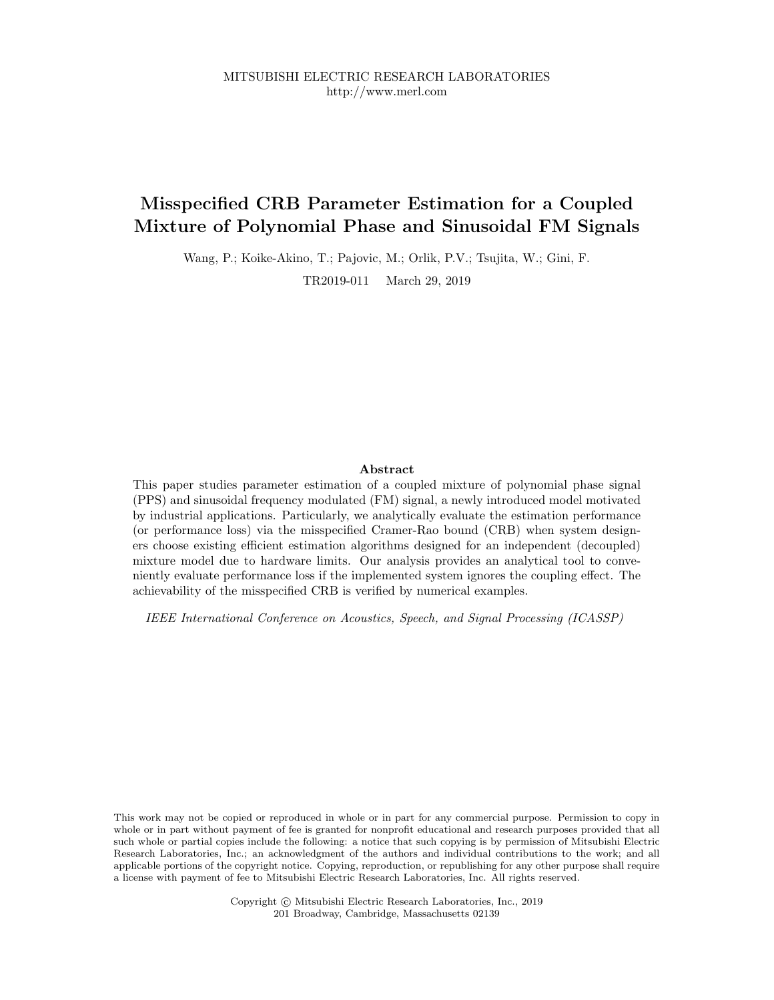MITSUBISHI ELECTRIC RESEARCH LABORATORIES http://www.merl.com

# **Misspecified CRB Parameter Estimation for a Coupled Mixture of Polynomial Phase and Sinusoidal FM Signals**

Wang, P.; Koike-Akino, T.; Pajovic, M.; Orlik, P.V.; Tsujita, W.; Gini, F.

TR2019-011 March 29, 2019

# **Abstract**

This paper studies parameter estimation of a coupled mixture of polynomial phase signal (PPS) and sinusoidal frequency modulated (FM) signal, a newly introduced model motivated by industrial applications. Particularly, we analytically evaluate the estimation performance (or performance loss) via the misspecified Cramer-Rao bound (CRB) when system designers choose existing efficient estimation algorithms designed for an independent (decoupled) mixture model due to hardware limits. Our analysis provides an analytical tool to conveniently evaluate performance loss if the implemented system ignores the coupling effect. The achievability of the misspecified CRB is verified by numerical examples.

*IEEE International Conference on Acoustics, Speech, and Signal Processing (ICASSP)*

This work may not be copied or reproduced in whole or in part for any commercial purpose. Permission to copy in whole or in part without payment of fee is granted for nonprofit educational and research purposes provided that all such whole or partial copies include the following: a notice that such copying is by permission of Mitsubishi Electric Research Laboratories, Inc.; an acknowledgment of the authors and individual contributions to the work; and all applicable portions of the copyright notice. Copying, reproduction, or republishing for any other purpose shall require a license with payment of fee to Mitsubishi Electric Research Laboratories, Inc. All rights reserved.

> Copyright © Mitsubishi Electric Research Laboratories, Inc., 2019 201 Broadway, Cambridge, Massachusetts 02139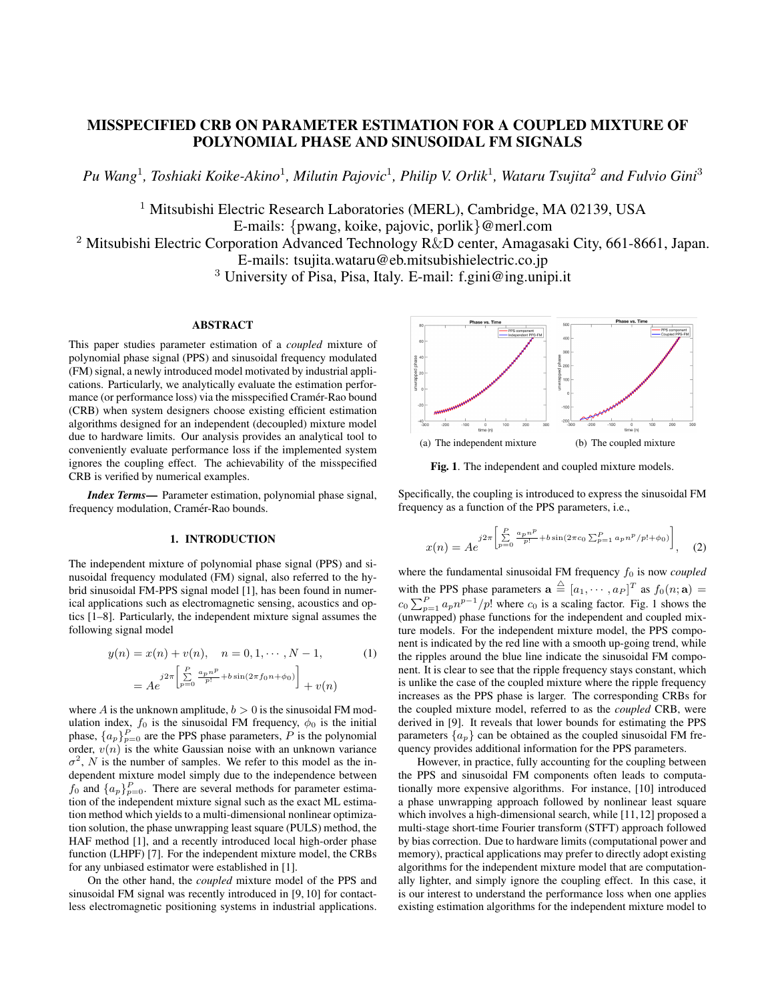# MISSPECIFIED CRB ON PARAMETER ESTIMATION FOR A COUPLED MIXTURE OF POLYNOMIAL PHASE AND SINUSOIDAL FM SIGNALS

*Pu Wang*<sup>1</sup> *, Toshiaki Koike-Akino*<sup>1</sup> *, Milutin Pajovic*<sup>1</sup> *, Philip V. Orlik*<sup>1</sup> *, Wataru Tsujita*<sup>2</sup> *and Fulvio Gini*<sup>3</sup>

<sup>1</sup> Mitsubishi Electric Research Laboratories (MERL), Cambridge, MA 02139, USA E-mails: {pwang, koike, pajovic, porlik}@merl.com

<sup>2</sup> Mitsubishi Electric Corporation Advanced Technology R&D center, Amagasaki City, 661-8661, Japan. E-mails: tsujita.wataru@eb.mitsubishielectric.co.jp

<sup>3</sup> University of Pisa, Pisa, Italy. E-mail: f.gini@ing.unipi.it

# ABSTRACT

This paper studies parameter estimation of a *coupled* mixture of polynomial phase signal (PPS) and sinusoidal frequency modulated (FM) signal, a newly introduced model motivated by industrial applications. Particularly, we analytically evaluate the estimation performance (or performance loss) via the misspecified Cramér-Rao bound (CRB) when system designers choose existing efficient estimation algorithms designed for an independent (decoupled) mixture model due to hardware limits. Our analysis provides an analytical tool to conveniently evaluate performance loss if the implemented system ignores the coupling effect. The achievability of the misspecified CRB is verified by numerical examples.

*Index Terms*— Parameter estimation, polynomial phase signal, frequency modulation, Cramér-Rao bounds.

#### 1. INTRODUCTION

The independent mixture of polynomial phase signal (PPS) and sinusoidal frequency modulated (FM) signal, also referred to the hybrid sinusoidal FM-PPS signal model [1], has been found in numerical applications such as electromagnetic sensing, acoustics and optics [1–8]. Particularly, the independent mixture signal assumes the following signal model

$$
y(n) = x(n) + v(n), \quad n = 0, 1, \dots, N - 1,
$$
  
\n
$$
= Ae^{-j2\pi \left[\sum_{p=0}^{P} \frac{a_p n^p}{p!} + b \sin(2\pi f_0 n + \phi_0)\right]} + v(n)
$$
 (1)

where A is the unknown amplitude,  $b > 0$  is the sinusoidal FM modulation index,  $f_0$  is the sinusoidal FM frequency,  $\phi_0$  is the initial phase,  $\{a_p\}_{p=0}^P$  are the PPS phase parameters, P is the polynomial order,  $v(n)$  is the white Gaussian noise with an unknown variance  $\sigma^2$ , N is the number of samples. We refer to this model as the independent mixture model simply due to the independence between  $f_0$  and  $\{a_p\}_{p=0}^P$ . There are several methods for parameter estimation of the independent mixture signal such as the exact ML estimation method which yields to a multi-dimensional nonlinear optimization solution, the phase unwrapping least square (PULS) method, the HAF method [1], and a recently introduced local high-order phase function (LHPF) [7]. For the independent mixture model, the CRBs for any unbiased estimator were established in [1].

On the other hand, the *coupled* mixture model of the PPS and sinusoidal FM signal was recently introduced in [9, 10] for contactless electromagnetic positioning systems in industrial applications.



Fig. 1. The independent and coupled mixture models.

Specifically, the coupling is introduced to express the sinusoidal FM frequency as a function of the PPS parameters, i.e.,

$$
x(n) = Ae^{j2\pi \left[\sum_{p=0}^{P} \frac{a_p n^p}{p!} + b\sin(2\pi c_0 \sum_{p=1}^{P} a_p n^p / p! + \phi_0)\right]},
$$
 (2)

where the fundamental sinusoidal FM frequency  $f_0$  is now *coupled* with the PPS phase parameters  $\mathbf{a} \triangleq [a_1, \dots, a_P]^T$  as  $f_0(n; \mathbf{a}) =$  $c_0 \sum_{p=1}^{P} a_p n^{p-1}/p!$  where  $c_0$  is a scaling factor. Fig. 1 shows the (unwrapped) phase functions for the independent and coupled mixture models. For the independent mixture model, the PPS component is indicated by the red line with a smooth up-going trend, while the ripples around the blue line indicate the sinusoidal FM component. It is clear to see that the ripple frequency stays constant, which is unlike the case of the coupled mixture where the ripple frequency increases as the PPS phase is larger. The corresponding CRBs for the coupled mixture model, referred to as the *coupled* CRB, were derived in [9]. It reveals that lower bounds for estimating the PPS parameters  $\{a_p\}$  can be obtained as the coupled sinusoidal FM frequency provides additional information for the PPS parameters.

However, in practice, fully accounting for the coupling between the PPS and sinusoidal FM components often leads to computationally more expensive algorithms. For instance, [10] introduced a phase unwrapping approach followed by nonlinear least square which involves a high-dimensional search, while [11,12] proposed a multi-stage short-time Fourier transform (STFT) approach followed by bias correction. Due to hardware limits (computational power and memory), practical applications may prefer to directly adopt existing algorithms for the independent mixture model that are computationally lighter, and simply ignore the coupling effect. In this case, it is our interest to understand the performance loss when one applies existing estimation algorithms for the independent mixture model to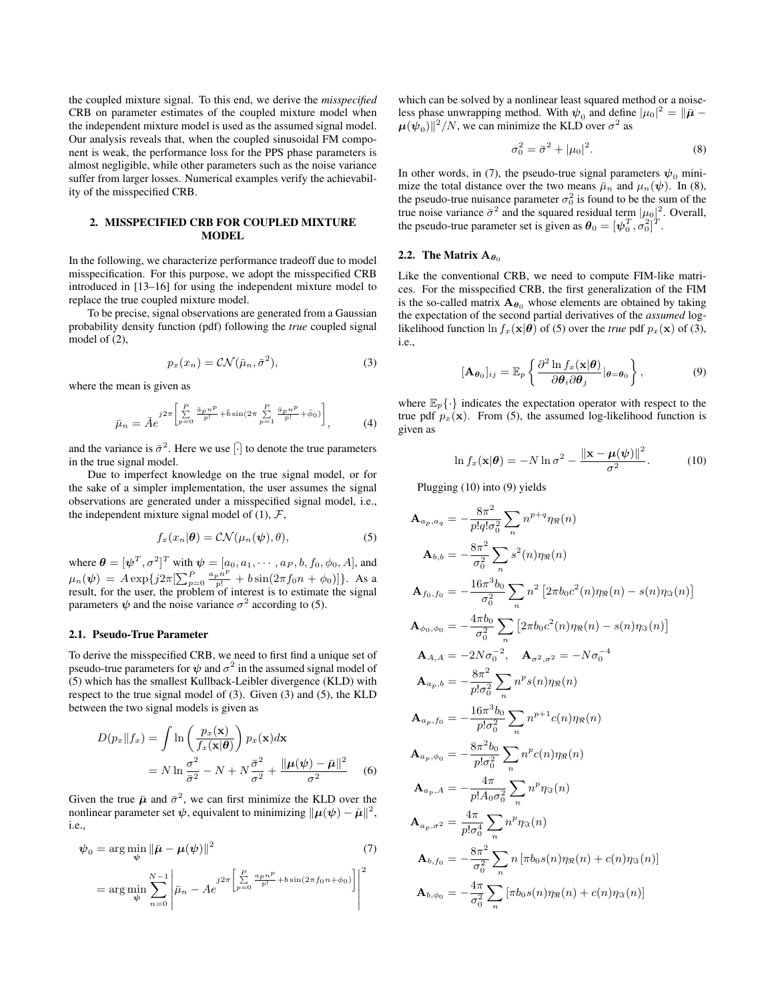the coupled mixture signal. To this end, we derive the *misspecified* CRB on parameter estimates of the coupled mixture model when the independent mixture model is used as the assumed signal model. Our analysis reveals that, when the coupled sinusoidal FM component is weak, the performance loss for the PPS phase parameters is almost negligible, while other parameters such as the noise variance suffer from larger losses. Numerical examples verify the achievability of the misspecified CRB.

# 2. MISSPECIFIED CRB FOR COUPLED MIXTURE MODEL

In the following, we characterize performance tradeoff due to model misspecification. For this purpose, we adopt the misspecified CRB introduced in [13–16] for using the independent mixture model to replace the true coupled mixture model.

To be precise, signal observations are generated from a Gaussian probability density function (pdf) following the *true* coupled signal model of (2),

$$
p_x(x_n) = \mathcal{CN}(\bar{\mu}_n, \bar{\sigma}^2),\tag{3}
$$

where the mean is given as

$$
\bar{\mu}_n = \bar{A}e^{j2\pi \left[\sum\limits_{p=0}^{P} \frac{\bar{a}_p n^p}{p!} + \bar{b}\sin(2\pi \sum\limits_{p=1}^{P} \frac{\bar{a}_p n^p}{p!} + \bar{\phi}_0)\right]},
$$
(4)

and the variance is  $\bar{\sigma}^2$ . Here we use  $[\cdot]$  to denote the true parameters in the true signal model.

Due to imperfect knowledge on the true signal model, or for the sake of a simpler implementation, the user assumes the signal observations are generated under a misspecified signal model, i.e., the independent mixture signal model of  $(1)$ ,  $\mathcal{F}$ ,

$$
f_x(x_n|\boldsymbol{\theta}) = \mathcal{CN}(\mu_n(\boldsymbol{\psi}), \theta), \tag{5}
$$

where  $\boldsymbol{\theta} = [\boldsymbol{\psi}^T, \sigma^2]^T$  with  $\boldsymbol{\psi} = [a_0, a_1, \cdots, a_P, b, f_0, \phi_0, A]$ , and  $\mu_n(\psi) = A \exp\{j2\pi \left[\sum_{p=0}^P \frac{a_p n^p}{p!} + b \sin(2\pi f_0 n + \phi_0)\right]\}$ . As a result, for the user, the problem of interest is to estimate the signal parameters  $\psi$  and the noise variance  $\sigma^2$  according to (5).

#### 2.1. Pseudo-True Parameter

To derive the misspecified CRB, we need to first find a unique set of pseudo-true parameters for  $\psi$  and  $\sigma^2$  in the assumed signal model of (5) which has the smallest Kullback-Leibler divergence (KLD) with respect to the true signal model of (3). Given (3) and (5), the KLD between the two signal models is given as

$$
D(p_x||f_x) = \int \ln\left(\frac{p_x(\mathbf{x})}{f_x(\mathbf{x}|\boldsymbol{\theta})}\right) p_x(\mathbf{x}) d\mathbf{x}
$$
  
=  $N \ln \frac{\sigma^2}{\bar{\sigma}^2} - N + N \frac{\bar{\sigma}^2}{\sigma^2} + \frac{\|\boldsymbol{\mu}(\boldsymbol{\psi}) - \bar{\boldsymbol{\mu}}\|^2}{\sigma^2}$  (6)

Given the true  $\bar{\mu}$  and  $\bar{\sigma}^2$ , we can first minimize the KLD over the nonlinear parameter set  $\psi$ , equivalent to minimizing  $\|\mu(\psi) - \bar{\mu}\|^2$ , i.e.,

$$
\psi_0 = \arg\min_{\psi} \|\bar{\boldsymbol{\mu}} - \boldsymbol{\mu}(\psi)\|^2 \tag{7}
$$

$$
= \arg\min_{\psi} \sum_{n=0}^{N-1} \left| \bar{\mu}_n - Ae^{-j2\pi \left[ \sum_{p=0}^{P} \frac{a_p n^p}{p!} + b \sin(2\pi f_0 n + \phi_0) \right]} \right|^2
$$

which can be solved by a nonlinear least squared method or a noiseless phase unwrapping method. With  $\psi_0$  and define  $|\mu_0|^2 = ||\bar{\mu} - \bar{\mu}||$  $\mu(\overline{\psi}_0) \|^2/N$ , we can minimize the KLD over  $\sigma^2$  as

$$
\sigma_0^2 = \bar{\sigma}^2 + |\mu_0|^2. \tag{8}
$$

In other words, in (7), the pseudo-true signal parameters  $\psi_0$  minimize the total distance over the two means  $\bar{\mu}_n$  and  $\mu_n(\psi)$ . In (8), the pseudo-true nuisance parameter  $\sigma_0^2$  is found to be the sum of the true noise variance  $\bar{\sigma}^2$  and the squared residual term  $|\mu_0|^2$ . Overall, the pseudo-true parameter set is given as  $\theta_0 = [\psi_0^T, \sigma_0^2]^T$ . the pseudo-true parameter set is given as  $\boldsymbol{\theta}_0 = [\boldsymbol{\psi}_0^T, \sigma_0^2]$ 

#### 2.2. The Matrix  $A_{\theta_0}$

Like the conventional CRB, we need to compute FIM-like matrices. For the misspecified CRB, the first generalization of the FIM is the so-called matrix  $A_{\theta_0}$  whose elements are obtained by taking the expectation of the second partial derivatives of the *assumed* loglikelihood function  $\ln f_x(\mathbf{x}|\boldsymbol{\theta})$  of (5) over the *true* pdf  $p_x(\mathbf{x})$  of (3), i.e.,

$$
[\mathbf{A}_{\boldsymbol{\theta}_0}]_{ij} = \mathbb{E}_p \left\{ \frac{\partial^2 \ln f_x(\mathbf{x}|\boldsymbol{\theta})}{\partial \boldsymbol{\theta}_i \partial \boldsymbol{\theta}_j} |_{\boldsymbol{\theta} = \boldsymbol{\theta}_0} \right\},
$$
(9)

where  $\mathbb{E}_{p}\{\cdot\}$  indicates the expectation operator with respect to the true pdf  $p_x(\mathbf{x})$ . From (5), the assumed log-likelihood function is given as

$$
\ln f_x(\mathbf{x}|\boldsymbol{\theta}) = -N \ln \sigma^2 - \frac{\|\mathbf{x} - \boldsymbol{\mu}(\boldsymbol{\psi})\|^2}{\sigma^2}.
$$
 (10)

Plugging (10) into (9) yields

$$
A_{a_p,a_q} = -\frac{8\pi^2}{p!q!\sigma_0^2} \sum_n n^{p+q} \eta_{\Re}(n)
$$
  
\n
$$
A_{b,b} = -\frac{8\pi^2}{\sigma_0^2} \sum_n s^2(n) \eta_{\Re}(n)
$$
  
\n
$$
A_{f_0,f_0} = -\frac{16\pi^3 b_0}{\sigma_0^2} \sum_n n^2 [2\pi b_0 c^2(n) \eta_{\Re}(n) - s(n) \eta_{\Im}(n)]
$$
  
\n
$$
A_{\phi_0,\phi_0} = -\frac{4\pi b_0}{\sigma_0^2} \sum_n [2\pi b_0 c^2(n) \eta_{\Re}(n) - s(n) \eta_{\Im}(n)]
$$
  
\n
$$
A_{A,A} = -2N\sigma_0^{-2}, \quad A_{\sigma^2,\sigma^2} = -N\sigma_0^{-4}
$$
  
\n
$$
A_{a_p,b} = -\frac{8\pi^2}{p!\sigma_0^2} \sum_n n^p s(n) \eta_{\Re}(n)
$$
  
\n
$$
A_{a_p,f_0} = -\frac{16\pi^3 b_0}{p!\sigma_0^2} \sum_n n^{p+1} c(n) \eta_{\Re}(n)
$$
  
\n
$$
A_{a_p,\phi_0} = -\frac{8\pi^2 b_0}{p!\sigma_0^2} \sum_n n^p c(n) \eta_{\Re}(n)
$$
  
\n
$$
A_{a_p,A} = -\frac{4\pi}{p!\Lambda_0\sigma_0^2} \sum_n n^p \eta_{\Im}(n)
$$
  
\n
$$
A_{a_p,\sigma^2} = \frac{4\pi}{p!\sigma_0^2} \sum_n n^p \eta_{\Im}(n)
$$
  
\n
$$
A_{b,f_0} = -\frac{8\pi^2}{\sigma_0^2} \sum_n n [\pi b_0 s(n) \eta_{\Re}(n) + c(n) \eta_{\Im}(n)]
$$
  
\n
$$
A_{b,\phi_0} = -\frac{4\pi}{\sigma_0^2} \sum_n [\pi b_0 s(n) \eta_{\Re}(n) + c(n) \eta_{\Im}(n)]
$$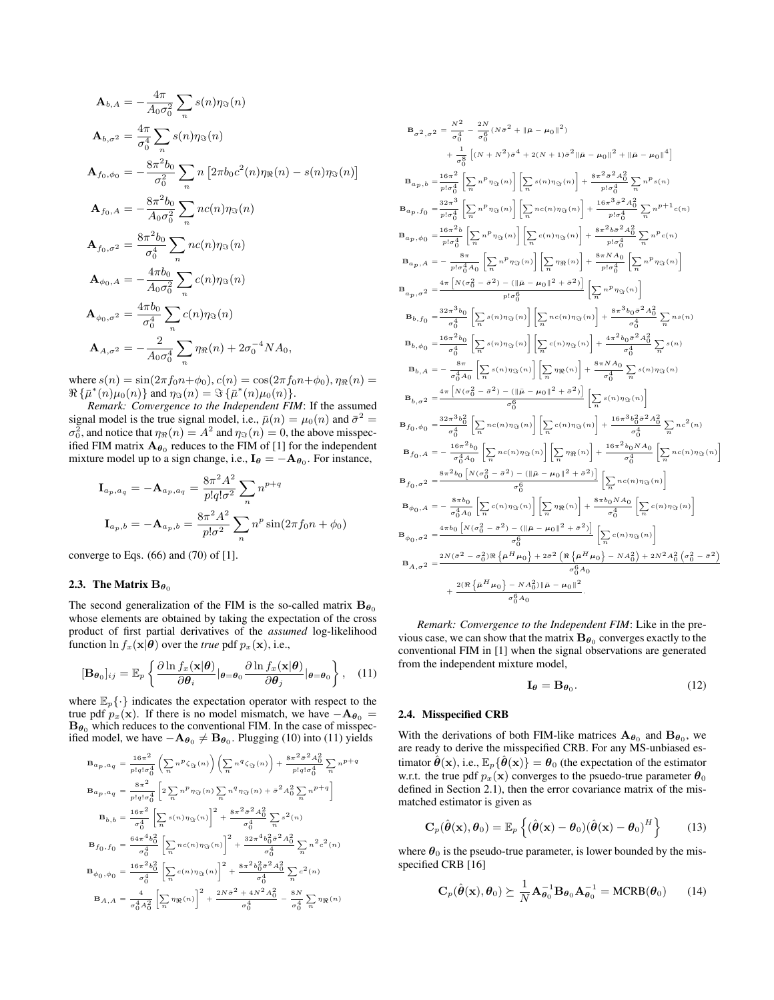$$
\mathbf{A}_{b,A} = -\frac{4\pi}{A_0 \sigma_0^2} \sum_n s(n)\eta_{\Im}(n)
$$
\n
$$
\mathbf{A}_{b,\sigma^2} = \frac{4\pi}{\sigma_0^4} \sum_n s(n)\eta_{\Im}(n)
$$
\n
$$
\mathbf{A}_{f_0,\phi_0} = -\frac{8\pi^2 b_0}{\sigma_0^2} \sum_n n [2\pi b_0 c^2(n)\eta_{\Re}(n) - s(n)\eta_{\Im}(n)]
$$
\n
$$
\mathbf{A}_{f_0,A} = -\frac{8\pi^2 b_0}{A_0 \sigma_0^2} \sum_n n c(n)\eta_{\Im}(n)
$$
\n
$$
\mathbf{A}_{f_0,\sigma^2} = \frac{8\pi^2 b_0}{\sigma_0^4} \sum_n n c(n)\eta_{\Im}(n)
$$
\n
$$
\mathbf{A}_{\phi_0,A} = -\frac{4\pi b_0}{A_0 \sigma_0^2} \sum_n c(n)\eta_{\Im}(n)
$$
\n
$$
\mathbf{A}_{\phi_0,\sigma^2} = \frac{4\pi b_0}{\sigma_0^4} \sum_n c(n)\eta_{\Im}(n)
$$
\n
$$
\mathbf{A}_{A,\sigma^2} = -\frac{2}{A_0 \sigma_0^4} \sum_n \eta_{\Re}(n) + 2\sigma_0^{-4} N A_0,
$$

where  $s(n) = \sin(2\pi f_0 n + \phi_0)$ ,  $c(n) = \cos(2\pi f_0 n + \phi_0)$ ,  $\eta_{\Re}(n) =$  $\Re\{\bar{\mu}^*(n)\mu_0(n)\}\$  and  $\eta_{\Im}(n) = \Im\{\bar{\mu}^*(n)\mu_0(n)\}.$ 

*Remark: Convergence to the Independent FIM*: If the assumed signal model is the true signal model, i.e.,  $\bar{\mu}(n) = \mu_0(n)$  and  $\bar{\sigma}^2 =$  $\sigma_0^2$ , and notice that  $\eta_{\Re}(n) = A^2$  and  $\eta_{\Im}(n) = 0$ , the above misspecified FIM matrix  $A_{\theta_0}$  reduces to the FIM of [1] for the independent mixture model up to a sign change, i.e.,  $I_{\theta} = -A_{\theta_0}$ . For instance,

$$
\mathbf{I}_{a_p, a_q} = -\mathbf{A}_{a_p, a_q} = \frac{8\pi^2 A^2}{p! q! \sigma^2} \sum_n n^{p+q}
$$

$$
\mathbf{I}_{a_p, b} = -\mathbf{A}_{a_p, b} = \frac{8\pi^2 A^2}{p! \sigma^2} \sum_n n^p \sin(2\pi f_0 n + \phi_0)
$$

converge to Eqs.  $(66)$  and  $(70)$  of  $[1]$ .

# 2.3. The Matrix  $B_{\theta_0}$

The second generalization of the FIM is the so-called matrix  $\mathbf{B}_{\theta_0}$ whose elements are obtained by taking the expectation of the cross product of first partial derivatives of the *assumed* log-likelihood function  $\ln f_x(\mathbf{x}|\boldsymbol{\theta})$  over the *true* pdf  $p_x(\mathbf{x})$ , i.e.,

$$
[\mathbf{B}_{\theta_0}]_{ij} = \mathbb{E}_p \left\{ \frac{\partial \ln f_x(\mathbf{x}|\boldsymbol{\theta})}{\partial \theta_i} |_{\boldsymbol{\theta} = \boldsymbol{\theta}_0} \frac{\partial \ln f_x(\mathbf{x}|\boldsymbol{\theta})}{\partial \theta_j} |_{\boldsymbol{\theta} = \boldsymbol{\theta}_0} \right\}, \quad (11)
$$

where  $\mathbb{E}_p\{\cdot\}$  indicates the expectation operator with respect to the true pdf  $p_x(\mathbf{x})$ . If there is no model mismatch, we have  $-\mathbf{A}_{\theta_0} =$  $\mathbf{B}_{\boldsymbol{\theta}_0}$  which reduces to the conventional FIM. In the case of misspecified model, we have  $-\mathbf{A}_{\theta_0} \neq \mathbf{B}_{\theta_0}$ . Plugging (10) into (11) yields

$$
\begin{split} \mathbf{B}_{ap,\,aq} & = \frac{16\pi^2}{p!q!\sigma_0^4} \left( \sum_n n^p \zeta_{\Im}(n) \right) \left( \sum_n n^q \zeta_{\Im}(n) \right) + \frac{8\pi^2\bar{\sigma}^2A_0^2}{p!q!\sigma_0^4} \sum_n n^{p+q} \\ \mathbf{B}_{ap,\,aq} & = \frac{8\pi^2}{p!q!\sigma_0^4} \left[ 2 \sum_n n^p \eta_{\Im}(n) \sum_n n^q \eta_{\Im}(n) + \bar{\sigma}^2A_0^2 \sum_n n^{p+q} \right] \\ \mathbf{B}_{b,b} & = \frac{16\pi^2}{\sigma_0^4} \left[ \sum_n s(n) \eta_{\Im}(n) \right]^2 + \frac{8\pi^2\bar{\sigma}^2A_0^2}{\sigma_0^4} \sum_n s^2(n) \\ \mathbf{B}_{f_0,f_0} & = \frac{64\pi^4b_0^2}{\sigma_0^4} \left[ \sum_n n c(n) \eta_{\Im}(n) \right]^2 + \frac{32\pi^4b_0^2\bar{\sigma}^2A_0^2}{\sigma_0^4} \sum_n n^2c^2(n) \\ \mathbf{B}_{\phi_0,\phi_0} & = \frac{16\pi^2b_0^2}{\sigma_0^4} \left[ \sum_n c(n) \eta_{\Im}(n) \right]^2 + \frac{8\pi^2b_0^2\bar{\sigma}^2A_0^2}{\sigma_0^4} \sum_n c^2(n) \\ \mathbf{B}_{A,A} & = \frac{4}{\sigma_0^4A_0^2} \left[ \sum_n \eta_{\Re}(n) \right]^2 + \frac{2N\bar{\sigma}^2 + 4N^2A_0^2}{\sigma_0^4} - \frac{8N}{\sigma_0^4} \sum_n \eta_{\Re}(n) \end{split}
$$

$$
B_{\sigma^2,\sigma^2} = \frac{N^2}{\sigma_0^4} - \frac{2N}{\sigma_0^6} (N\sigma^2 + \|\bar{\mu} - \mu_0\|^2) + \frac{1}{\sigma_0^8} [(N + N^2)\sigma^4 + 2(N + 1)\sigma^2 \|\bar{\mu} - \mu_0\|^2 + \|\bar{\mu} - \mu_0\|^4] + \frac{1}{\sigma_0^8} [(N + N^2)\sigma^4 + 2(N + 1)\sigma^2 \|\bar{\mu} - \mu_0\|^2 + \|\bar{\mu} - \mu_0\|^4] + \frac{1}{\sigma_0^2} \sigma_0^2 \sum_{p|J} \sigma_0^4 \sum_{p|J} \sigma_0^4 \sum_{p|J} \sigma_0^4 \sum_{p|J} \sigma_0^4 \sigma_0^4 \sum_{p|J} \sigma_0^4 \sigma_1^2 \sigma_2^2 \sigma_1^2 \sigma_2^2 \sigma_1^2 \sigma_2^2 \sigma_1^2 \sigma_2^2 \sigma_1^2 \sigma_2^2 \sigma_1^2 \sigma_2^2 \sigma_1^2 \sigma_2^2 \sigma_1^2 \sigma_2^2 \sigma_1^2 \sigma_2^2 \sigma_1^2 \sigma_2^2 \sigma_1^2 \sigma_2^2 \sigma_2^2 \sigma_2^2 \sigma_2^2 \sigma_2^2 \sigma_2^2 \sigma_2^2 \sigma_2^2 \sigma_2^2 \sigma_2^2 \sigma_2^2 \sigma_2^2 \sigma_2^2 \sigma_2^2 \sigma_2^2 \sigma_2^2 \sigma_2^2 \sigma_2^2 \sigma_2^2 \sigma_2^2 \sigma_2^2 \sigma_2^2 \sigma_2^2 \sigma_2^2 \sigma_2^2 \sigma_2^2 \sigma_2^2 \sigma_2^2 \sigma_2^2 \sigma_2^2 \sigma_2^2 \sigma_2^2 \sigma_2^2 \sigma_2^2 \sigma_2^2 \sigma_2^2 \sigma_2^2 \sigma_2^2 \sigma_2^2 \sigma_2^2 \sigma_2^2 \sigma_2^2 \sigma_2^2 \sigma_2^2 \sigma_2^2 \sigma_2^2 \sigma_2^2 \sigma_2^2 \sigma_2^2 \sigma_2^2 \sigma_2^2 \sigma_2^2 \sigma_2^2 \sigma_2^2 \sigma_2^2 \sigma_2^2 \sigma_2^2 \sigma_2^
$$

*Remark: Convergence to the Independent FIM*: Like in the previous case, we can show that the matrix  $\mathbf{B}_{\boldsymbol{\theta}_0}$  converges exactly to the conventional FIM in [1] when the signal observations are generated from the independent mixture model,

$$
\mathbf{I}_{\theta} = \mathbf{B}_{\theta_0}.\tag{12}
$$

#### 2.4. Misspecified CRB

With the derivations of both FIM-like matrices  $\mathbf{A}_{\theta_0}$  and  $\mathbf{B}_{\theta_0}$ , we are ready to derive the misspecified CRB. For any MS-unbiased estimator  $\hat{\boldsymbol{\theta}}(\mathbf{x})$ , i.e.,  $\mathbb{E}_p\{\hat{\boldsymbol{\theta}}(\mathbf{x})\} = \boldsymbol{\theta}_0$  (the expectation of the estimator w.r.t. the true pdf  $p_x(\mathbf{x})$  converges to the psuedo-true parameter  $\boldsymbol{\theta}_0$ defined in Section 2.1), then the error covariance matrix of the mismatched estimator is given as

$$
\mathbf{C}_p(\hat{\boldsymbol{\theta}}(\mathbf{x}), \boldsymbol{\theta}_0) = \mathbb{E}_p\left\{ (\hat{\boldsymbol{\theta}}(\mathbf{x}) - \boldsymbol{\theta}_0)(\hat{\boldsymbol{\theta}}(\mathbf{x}) - \boldsymbol{\theta}_0)^H \right\} \qquad (13)
$$

where  $\theta_0$  is the pseudo-true parameter, is lower bounded by the misspecified CRB [16]

$$
\mathbf{C}_p(\hat{\boldsymbol{\theta}}(\mathbf{x}), \boldsymbol{\theta}_0) \succeq \frac{1}{N} \mathbf{A}_{\boldsymbol{\theta}_0}^{-1} \mathbf{B}_{\boldsymbol{\theta}_0} \mathbf{A}_{\boldsymbol{\theta}_0}^{-1} = \text{MCRB}(\boldsymbol{\theta}_0)
$$
(14)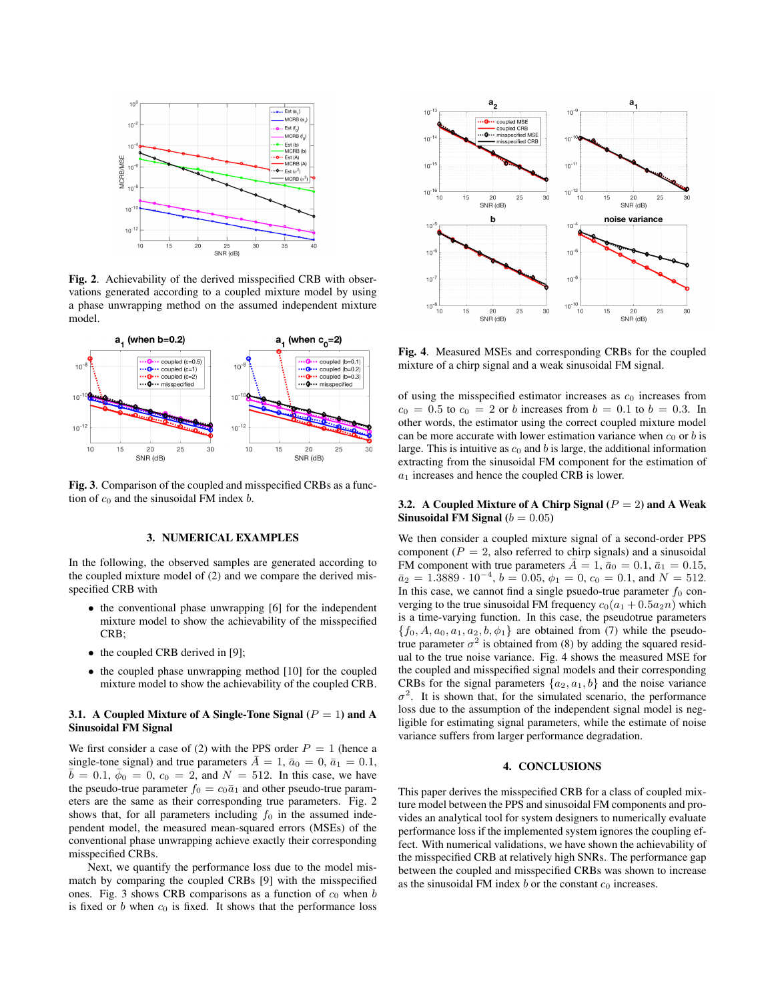

Fig. 2. Achievability of the derived misspecified CRB with observations generated according to a coupled mixture model by using a phase unwrapping method on the assumed independent mixture model.



Fig. 3. Comparison of the coupled and misspecified CRBs as a function of  $c_0$  and the sinusoidal FM index  $b$ .

#### 3. NUMERICAL EXAMPLES

In the following, the observed samples are generated according to the coupled mixture model of (2) and we compare the derived misspecified CRB with

- the conventional phase unwrapping [6] for the independent mixture model to show the achievability of the misspecified CRB;
- the coupled CRB derived in [9];
- the coupled phase unwrapping method [10] for the coupled mixture model to show the achievability of the coupled CRB.

### 3.1. A Coupled Mixture of A Single-Tone Signal  $(P = 1)$  and A Sinusoidal FM Signal

We first consider a case of (2) with the PPS order  $P = 1$  (hence a single-tone signal) and true parameters  $A = 1$ ,  $\bar{a}_0 = 0$ ,  $\bar{a}_1 = 0.1$ ,  $b = 0.1, \phi_0 = 0, c_0 = 2, \text{ and } N = 512.$  In this case, we have the pseudo-true parameter  $f_0 = c_0 \bar{a}_1$  and other pseudo-true parameters are the same as their corresponding true parameters. Fig. 2 shows that, for all parameters including  $f_0$  in the assumed independent model, the measured mean-squared errors (MSEs) of the conventional phase unwrapping achieve exactly their corresponding misspecified CRBs.

Next, we quantify the performance loss due to the model mismatch by comparing the coupled CRBs [9] with the misspecified ones. Fig. 3 shows CRB comparisons as a function of  $c_0$  when  $b$ is fixed or b when  $c_0$  is fixed. It shows that the performance loss



Fig. 4. Measured MSEs and corresponding CRBs for the coupled mixture of a chirp signal and a weak sinusoidal FM signal.

of using the misspecified estimator increases as  $c_0$  increases from  $c_0 = 0.5$  to  $c_0 = 2$  or b increases from  $b = 0.1$  to  $b = 0.3$ . In other words, the estimator using the correct coupled mixture model can be more accurate with lower estimation variance when  $c_0$  or b is large. This is intuitive as  $c_0$  and b is large, the additional information extracting from the sinusoidal FM component for the estimation of  $a_1$  increases and hence the coupled CRB is lower.

# 3.2. A Coupled Mixture of A Chirp Signal  $(P = 2)$  and A Weak Sinusoidal FM Signal ( $b = 0.05$ )

We then consider a coupled mixture signal of a second-order PPS component ( $P = 2$ , also referred to chirp signals) and a sinusoidal FM component with true parameters  $\bar{A} = 1$ ,  $\bar{a}_0 = 0.1$ ,  $\bar{a}_1 = 0.15$ ,  $\bar{a}_2 = 1.3889 \cdot 10^{-4}, b = 0.05, \phi_1 = 0, c_0 = 0.1, \text{ and } N = 512.$ In this case, we cannot find a single psuedo-true parameter  $f_0$  converging to the true sinusoidal FM frequency  $c_0(a_1 + 0.5a_2n)$  which is a time-varying function. In this case, the pseudotrue parameters  ${f_0, A, a_0, a_1, a_2, b, \phi_1}$  are obtained from (7) while the pseudotrue parameter  $\sigma^2$  is obtained from (8) by adding the squared residual to the true noise variance. Fig. 4 shows the measured MSE for the coupled and misspecified signal models and their corresponding CRBs for the signal parameters  $\{a_2, a_1, b\}$  and the noise variance  $\sigma^2$ . It is shown that, for the simulated scenario, the performance loss due to the assumption of the independent signal model is negligible for estimating signal parameters, while the estimate of noise variance suffers from larger performance degradation.

#### 4. CONCLUSIONS

This paper derives the misspecified CRB for a class of coupled mixture model between the PPS and sinusoidal FM components and provides an analytical tool for system designers to numerically evaluate performance loss if the implemented system ignores the coupling effect. With numerical validations, we have shown the achievability of the misspecified CRB at relatively high SNRs. The performance gap between the coupled and misspecified CRBs was shown to increase as the sinusoidal FM index  $b$  or the constant  $c_0$  increases.